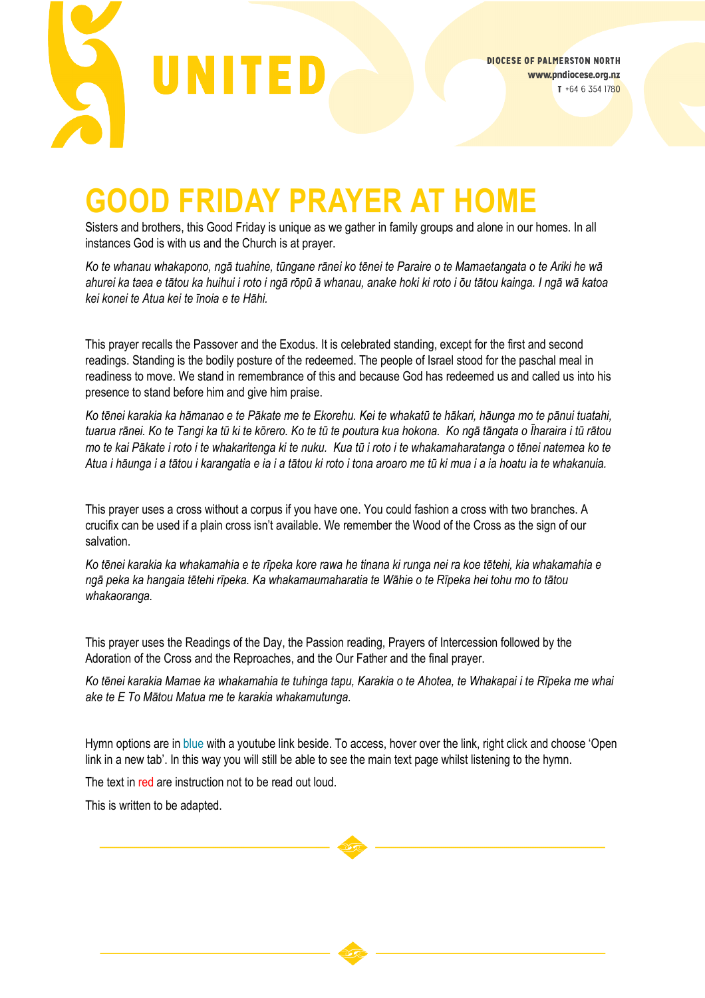

# **GOOD FRIDAY PRAYER AT HOME**

Sisters and brothers, this Good Friday is unique as we gather in family groups and alone in our homes. In all instances God is with us and the Church is at prayer.

*Ko te whanau whakapono, ngā tuahine, tūngane rānei ko tēnei te Paraire o te Mamaetangata o te Ariki he wā ahurei ka taea e tātou ka huihui i roto i ngā rōpū ā whanau, anake hoki ki roto i ōu tātou kainga. I ngā wā katoa kei konei te Atua kei te īnoia e te Hāhi.*

This prayer recalls the Passover and the Exodus. It is celebrated standing, except for the first and second readings. Standing is the bodily posture of the redeemed. The people of Israel stood for the paschal meal in readiness to move. We stand in remembrance of this and because God has redeemed us and called us into his presence to stand before him and give him praise.

*Ko tēnei karakia ka hāmanao e te Pākate me te Ekorehu. Kei te whakatū te hākari, hāunga mo te pānui tuatahi, tuarua rānei. Ko te Tangi ka tū ki te kōrero. Ko te tū te poutura kua hokona. Ko ngā tāngata o Īharaira i tū rātou mo te kai Pākate i roto i te whakaritenga ki te nuku. Kua tū i roto i te whakamaharatanga o tēnei natemea ko te Atua i hāunga i a tātou i karangatia e ia i a tātou ki roto i tona aroaro me tū ki mua i a ia hoatu ia te whakanuia.*

This prayer uses a cross without a corpus if you have one. You could fashion a cross with two branches. A crucifix can be used if a plain cross isn't available. We remember the Wood of the Cross as the sign of our salvation.

*Ko tēnei karakia ka whakamahia e te rīpeka kore rawa he tinana ki runga nei ra koe tētehi, kia whakamahia e ngā peka ka hangaia tētehi rīpeka. Ka whakamaumaharatia te Wāhie o te Rīpeka hei tohu mo to tātou whakaoranga.*

This prayer uses the Readings of the Day, the Passion reading, Prayers of Intercession followed by the Adoration of the Cross and the Reproaches, and the Our Father and the final prayer.

*Ko tēnei karakia Mamae ka whakamahia te tuhinga tapu, Karakia o te Ahotea, te Whakapai i te Rīpeka me whai ake te E To Mātou Matua me te karakia whakamutunga.*

Hymn options are in blue with a youtube link beside. To access, hover over the link, right click and choose 'Open link in a new tab'. In this way you will still be able to see the main text page whilst listening to the hymn.

The text in red are instruction not to be read out loud.

This is written to be adapted.

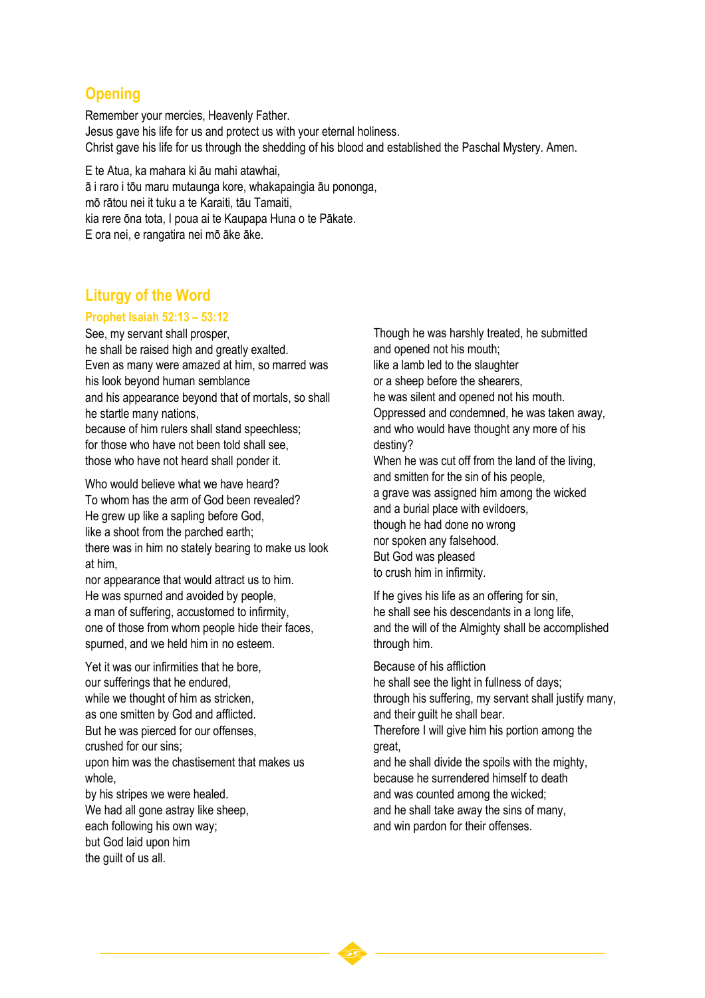# **Opening**

Remember your mercies, Heavenly Father. Jesus gave his life for us and protect us with your eternal holiness. Christ gave his life for us through the shedding of his blood and established the Paschal Mystery. Amen.

E te Atua, ka mahara ki āu mahi atawhai, ā i raro i tōu maru mutaunga kore, whakapaingia āu pononga, mō rātou nei it tuku a te Karaiti, tāu Tamaiti, kia rere ōna tota, I poua ai te Kaupapa Huna o te Pākate. E ora nei, e rangatira nei mō āke āke.

# **Liturgy of the Word**

## **Prophet Isaiah 52:13 – 53:12**

See, my servant shall prosper, he shall be raised high and greatly exalted. Even as many were amazed at him, so marred was his look beyond human semblance and his appearance beyond that of mortals, so shall he startle many nations,

because of him rulers shall stand speechless; for those who have not been told shall see, those who have not heard shall ponder it.

Who would believe what we have heard? To whom has the arm of God been revealed? He grew up like a sapling before God, like a shoot from the parched earth; there was in him no stately bearing to make us look at him,

nor appearance that would attract us to him. He was spurned and avoided by people, a man of suffering, accustomed to infirmity, one of those from whom people hide their faces, spurned, and we held him in no esteem.

Yet it was our infirmities that he bore, our sufferings that he endured, while we thought of him as stricken, as one smitten by God and afflicted. But he was pierced for our offenses, crushed for our sins; upon him was the chastisement that makes us whole, by his stripes we were healed. We had all gone astray like sheep, each following his own way; but God laid upon him the guilt of us all.

Though he was harshly treated, he submitted and opened not his mouth; like a lamb led to the slaughter or a sheep before the shearers, he was silent and opened not his mouth.

Oppressed and condemned, he was taken away, and who would have thought any more of his destiny?

When he was cut off from the land of the living, and smitten for the sin of his people, a grave was assigned him among the wicked and a burial place with evildoers, though he had done no wrong nor spoken any falsehood. But God was pleased to crush him in infirmity.

If he gives his life as an offering for sin, he shall see his descendants in a long life, and the will of the Almighty shall be accomplished through him.

Because of his affliction

he shall see the light in fullness of days; through his suffering, my servant shall justify many, and their guilt he shall bear.

Therefore I will give him his portion among the great,

and he shall divide the spoils with the mighty, because he surrendered himself to death and was counted among the wicked; and he shall take away the sins of many, and win pardon for their offenses.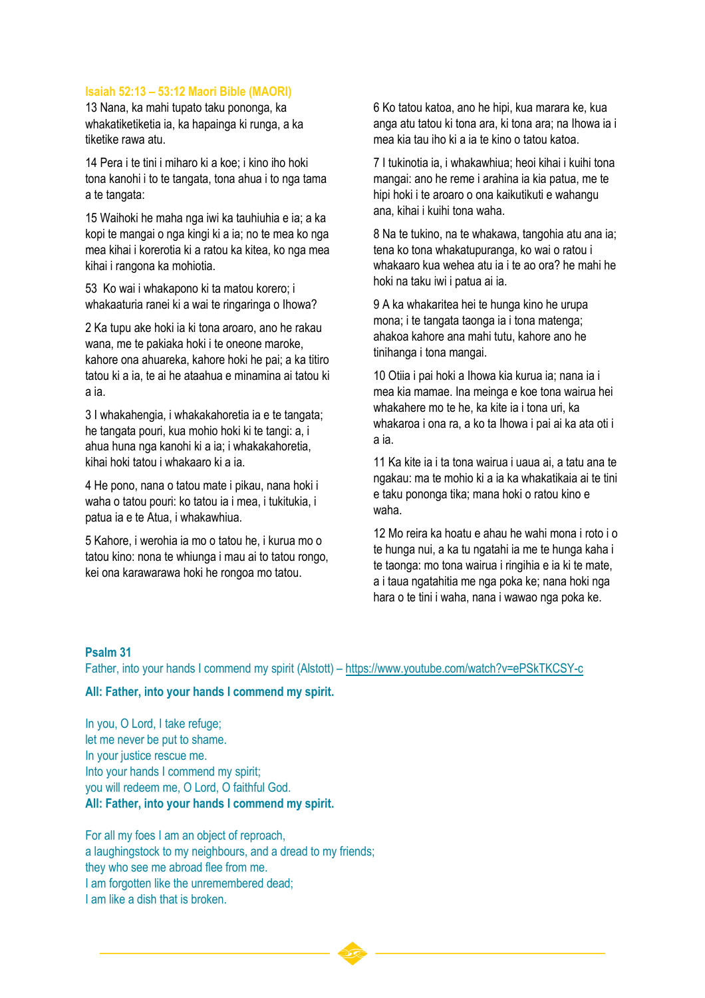### **Isaiah 52:13 – 53:12 Maori Bible (MAORI)**

13 Nana, ka mahi tupato taku pononga, ka whakatiketiketia ia, ka hapainga ki runga, a ka tiketike rawa atu.

14 Pera i te tini i miharo ki a koe; i kino iho hoki tona kanohi i to te tangata, tona ahua i to nga tama a te tangata:

15 Waihoki he maha nga iwi ka tauhiuhia e ia; a ka kopi te mangai o nga kingi ki a ia; no te mea ko nga mea kihai i korerotia ki a ratou ka kitea, ko nga mea kihai i rangona ka mohiotia.

53 Ko wai i whakapono ki ta matou korero; i whakaaturia ranei ki a wai te ringaringa o Ihowa?

2 Ka tupu ake hoki ia ki tona aroaro, ano he rakau wana, me te pakiaka hoki i te oneone maroke, kahore ona ahuareka, kahore hoki he pai; a ka titiro tatou ki a ia, te ai he ataahua e minamina ai tatou ki a ia.

3 I whakahengia, i whakakahoretia ia e te tangata; he tangata pouri, kua mohio hoki ki te tangi: a, i ahua huna nga kanohi ki a ia; i whakakahoretia, kihai hoki tatou i whakaaro ki a ia.

4 He pono, nana o tatou mate i pikau, nana hoki i waha o tatou pouri: ko tatou ia i mea, i tukitukia, i patua ia e te Atua, i whakawhiua.

5 Kahore, i werohia ia mo o tatou he, i kurua mo o tatou kino: nona te whiunga i mau ai to tatou rongo, kei ona karawarawa hoki he rongoa mo tatou.

6 Ko tatou katoa, ano he hipi, kua marara ke, kua anga atu tatou ki tona ara, ki tona ara; na Ihowa ia i mea kia tau iho ki a ia te kino o tatou katoa.

7 I tukinotia ia, i whakawhiua; heoi kihai i kuihi tona mangai: ano he reme i arahina ia kia patua, me te hipi hoki i te aroaro o ona kaikutikuti e wahangu ana, kihai i kuihi tona waha.

8 Na te tukino, na te whakawa, tangohia atu ana ia; tena ko tona whakatupuranga, ko wai o ratou i whakaaro kua wehea atu ia i te ao ora? he mahi he hoki na taku iwi i patua ai ia.

9 A ka whakaritea hei te hunga kino he urupa mona; i te tangata taonga ia i tona matenga; ahakoa kahore ana mahi tutu, kahore ano he tinihanga i tona mangai.

10 Otiia i pai hoki a Ihowa kia kurua ia; nana ia i mea kia mamae. Ina meinga e koe tona wairua hei whakahere mo te he, ka kite ia i tona uri, ka whakaroa i ona ra, a ko ta Ihowa i pai ai ka ata oti i a ia.

11 Ka kite ia i ta tona wairua i uaua ai, a tatu ana te ngakau: ma te mohio ki a ia ka whakatikaia ai te tini e taku pononga tika; mana hoki o ratou kino e waha.

12 Mo reira ka hoatu e ahau he wahi mona i roto i o te hunga nui, a ka tu ngatahi ia me te hunga kaha i te taonga: mo tona wairua i ringihia e ia ki te mate, a i taua ngatahitia me nga poka ke; nana hoki nga hara o te tini i waha, nana i wawao nga poka ke.

#### **Psalm 31**

Father, into your hands I commend my spirit (Alstott) – [https://www.youtube.com](https://www.youtube.com/watch?v=ePSkTKCSY-c)/watch?v=ePSkTKCSY-c

#### **All: Father, into your hands I commend my spirit.**

In you, O Lord, I take refuge; let me never be put to shame. In your justice rescue me. Into your hands I commend my spirit; you will redeem me, O Lord, O faithful God. **All: Father, into your hands I commend my spirit.**

For all my foes I am an object of reproach, a laughingstock to my neighbours, and a dread to my friends; they who see me abroad flee from me. I am forgotten like the unremembered dead; I am like a dish that is broken.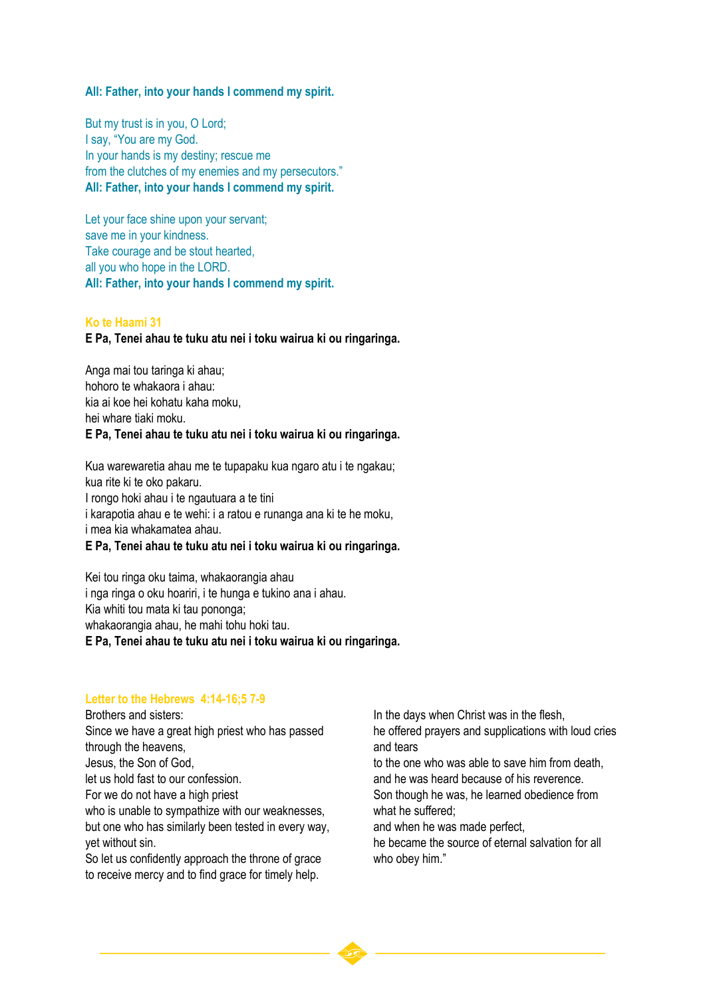## **All: Father, into your hands I commend my spirit.**

But my trust is in you, O Lord; I say, "You are my God. In your hands is my destiny; rescue me from the clutches of my enemies and my persecutors." **All: Father, into your hands I commend my spirit.**

Let your face shine upon your servant; save me in your kindness. Take courage and be stout hearted, all you who hope in the LORD. **All: Father, into your hands I commend my spirit.**

## **Ko te Haami 31**

## **E Pa, Tenei ahau te tuku atu nei i toku wairua ki ou ringaringa.**

Anga mai tou taringa ki ahau; hohoro te whakaora i ahau: kia ai koe hei kohatu kaha moku, hei whare tiaki moku. **E Pa, Tenei ahau te tuku atu nei i toku wairua ki ou ringaringa.**

Kua warewaretia ahau me te tupapaku kua ngaro atu i te ngakau; kua rite ki te oko pakaru. I rongo hoki ahau i te ngautuara a te tini i karapotia ahau e te wehi: i a ratou e runanga ana ki te he moku, i mea kia whakamatea ahau. **E Pa, Tenei ahau te tuku atu nei i toku wairua ki ou ringaringa.**

Kei tou ringa oku taima, whakaorangia ahau i nga ringa o oku hoariri, i te hunga e tukino ana i ahau. Kia whiti tou mata ki tau pononga; whakaorangia ahau, he mahi tohu hoki tau. **E Pa, Tenei ahau te tuku atu nei i toku wairua ki ou ringaringa.**

## **Letter to the Hebrews 4:14-16;5 7-9**

Brothers and sisters: Since we have a great high priest who has passed through the heavens, Jesus, the Son of God, let us hold fast to our confession. For we do not have a high priest who is unable to sympathize with our weaknesses, but one who has similarly been tested in every way, yet without sin.

So let us confidently approach the throne of grace to receive mercy and to find grace for timely help.

In the days when Christ was in the flesh,

he offered prayers and supplications with loud cries and tears

to the one who was able to save him from death, and he was heard because of his reverence. Son though he was, he learned obedience from what he suffered;

and when he was made perfect,

he became the source of eternal salvation for all who obey him."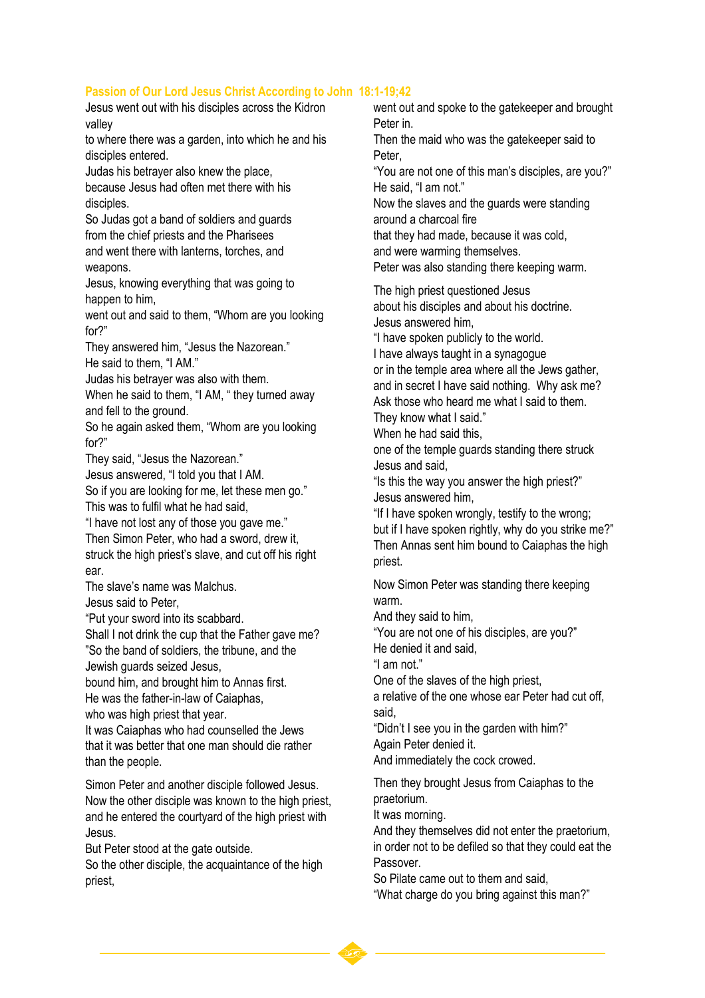## **Passion of Our Lord Jesus Christ According to John 18:1-19;42**

Jesus went out with his disciples across the Kidron valley

to where there was a garden, into which he and his disciples entered.

Judas his betrayer also knew the place, because Jesus had often met there with his disciples.

So Judas got a band of soldiers and guards from the chief priests and the Pharisees and went there with lanterns, torches, and weapons.

Jesus, knowing everything that was going to happen to him,

went out and said to them, "Whom are you looking for?"

They answered him, "Jesus the Nazorean." He said to them, "I AM."

Judas his betrayer was also with them.

When he said to them, "I AM, " they turned away and fell to the ground.

So he again asked them, "Whom are you looking for?"

They said, "Jesus the Nazorean."

Jesus answered, "I told you that I AM.

So if you are looking for me, let these men go." This was to fulfil what he had said,

"I have not lost any of those you gave me." Then Simon Peter, who had a sword, drew it, struck the high priest's slave, and cut off his right ear.

The slave's name was Malchus. Jesus said to Peter,

"Put your sword into its scabbard.

Shall I not drink the cup that the Father gave me? "So the band of soldiers, the tribune, and the Jewish guards seized Jesus,

bound him, and brought him to Annas first. He was the father-in-law of Caiaphas, who was high priest that year.

It was Caiaphas who had counselled the Jews that it was better that one man should die rather than the people.

Simon Peter and another disciple followed Jesus. Now the other disciple was known to the high priest, and he entered the courtyard of the high priest with Jesus.

But Peter stood at the gate outside.

So the other disciple, the acquaintance of the high priest,

went out and spoke to the gatekeeper and brought Peter in.

Then the maid who was the gatekeeper said to Peter,

"You are not one of this man's disciples, are you?" He said, "I am not."

Now the slaves and the guards were standing around a charcoal fire

that they had made, because it was cold,

and were warming themselves.

Peter was also standing there keeping warm.

The high priest questioned Jesus about his disciples and about his doctrine. Jesus answered him,

"I have spoken publicly to the world.

I have always taught in a synagogue

or in the temple area where all the Jews gather,

and in secret I have said nothing. Why ask me?

Ask those who heard me what I said to them.

They know what I said."

When he had said this,

one of the temple guards standing there struck Jesus and said,

"Is this the way you answer the high priest?" Jesus answered him,

"If I have spoken wrongly, testify to the wrong; but if I have spoken rightly, why do you strike me?" Then Annas sent him bound to Caiaphas the high priest.

Now Simon Peter was standing there keeping warm.

And they said to him,

"You are not one of his disciples, are you?"

He denied it and said,

"I am not."

One of the slaves of the high priest,

a relative of the one whose ear Peter had cut off, said,

"Didn't I see you in the garden with him?" Again Peter denied it.

And immediately the cock crowed.

Then they brought Jesus from Caiaphas to the praetorium.

It was morning.

And they themselves did not enter the praetorium, in order not to be defiled so that they could eat the Passover.

So Pilate came out to them and said, "What charge do you bring against this man?"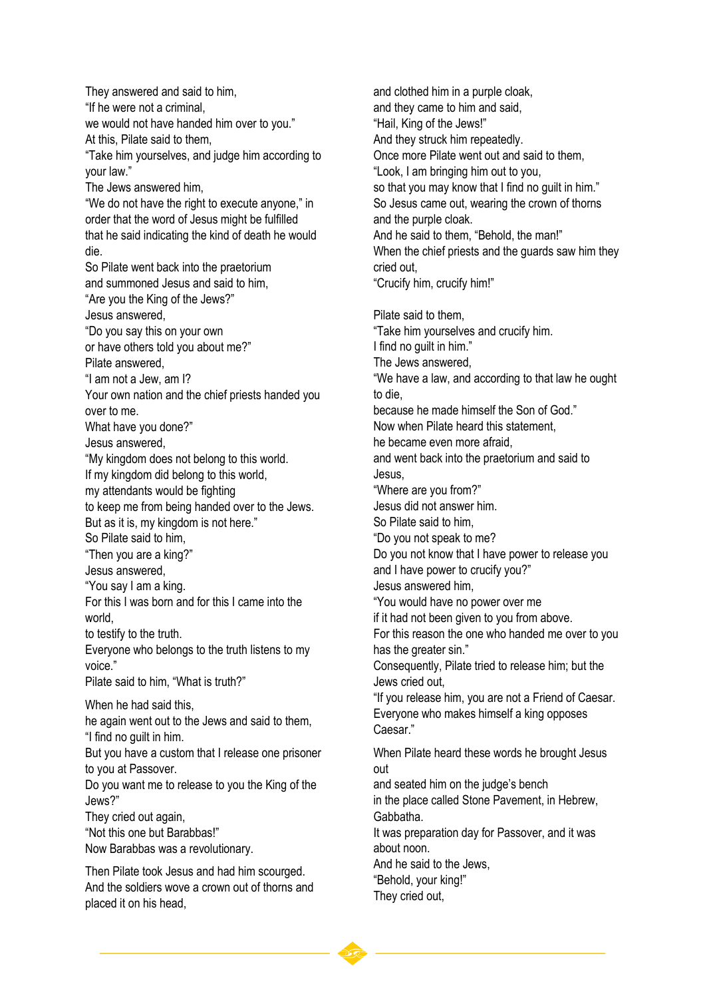They answered and said to him, "If he were not a criminal, we would not have handed him over to you." At this, Pilate said to them, "Take him yourselves, and judge him according to your law." The Jews answered him, "We do not have the right to execute anyone," in order that the word of Jesus might be fulfilled that he said indicating the kind of death he would die. So Pilate went back into the praetorium and summoned Jesus and said to him, "Are you the King of the Jews?" Jesus answered, "Do you say this on your own or have others told you about me?" Pilate answered, "I am not a Jew, am I? Your own nation and the chief priests handed you over to me. What have you done?" Jesus answered, "My kingdom does not belong to this world. If my kingdom did belong to this world, my attendants would be fighting to keep me from being handed over to the Jews. But as it is, my kingdom is not here." So Pilate said to him, "Then you are a king?" Jesus answered, "You say I am a king. For this I was born and for this I came into the world, to testify to the truth. Everyone who belongs to the truth listens to my voice." Pilate said to him, "What is truth?" When he had said this. he again went out to the Jews and said to them, "I find no guilt in him. But you have a custom that I release one prisoner to you at Passover. Do you want me to release to you the King of the Jews?" They cried out again, "Not this one but Barabbas!" Now Barabbas was a revolutionary. Then Pilate took Jesus and had him scourged. And the soldiers wove a crown out of thorns and

placed it on his head,

and clothed him in a purple cloak, and they came to him and said, "Hail, King of the Jews!" And they struck him repeatedly. Once more Pilate went out and said to them, "Look, I am bringing him out to you, so that you may know that I find no guilt in him." So Jesus came out, wearing the crown of thorns and the purple cloak. And he said to them, "Behold, the man!" When the chief priests and the guards saw him they cried out, "Crucify him, crucify him!" Pilate said to them, "Take him yourselves and crucify him. I find no guilt in him." The Jews answered, "We have a law, and according to that law he ought to die, because he made himself the Son of God." Now when Pilate heard this statement, he became even more afraid, and went back into the praetorium and said to Jesus, "Where are you from?" Jesus did not answer him. So Pilate said to him, "Do you not speak to me? Do you not know that I have power to release you and I have power to crucify you?" Jesus answered him, "You would have no power over me if it had not been given to you from above. For this reason the one who handed me over to you has the greater sin." Consequently, Pilate tried to release him; but the Jews cried out, "If you release him, you are not a Friend of Caesar. Everyone who makes himself a king opposes Caesar." When Pilate heard these words he brought Jesus out and seated him on the judge's bench in the place called Stone Pavement, in Hebrew, Gabbatha. It was preparation day for Passover, and it was about noon. And he said to the Jews, "Behold, your king!" They cried out,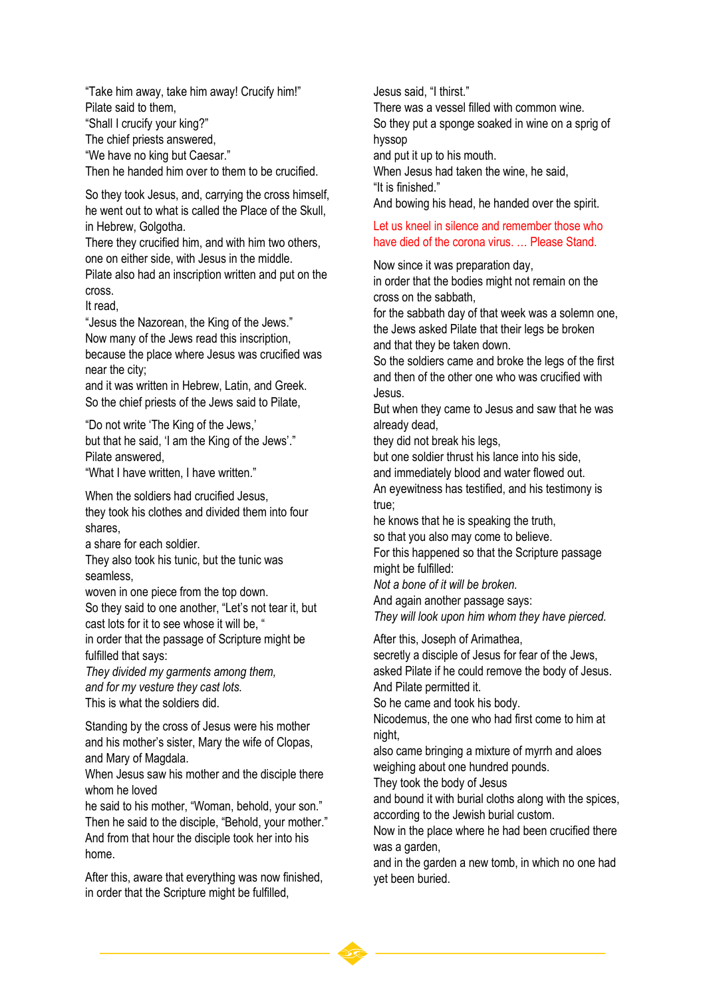"Take him away, take him away! Crucify him!" Pilate said to them,

"Shall I crucify your king?"

The chief priests answered,

"We have no king but Caesar."

Then he handed him over to them to be crucified.

So they took Jesus, and, carrying the cross himself, he went out to what is called the Place of the Skull, in Hebrew, Golgotha.

There they crucified him, and with him two others, one on either side, with Jesus in the middle.

Pilate also had an inscription written and put on the cross.

It read,

"Jesus the Nazorean, the King of the Jews." Now many of the Jews read this inscription, because the place where Jesus was crucified was near the city;

and it was written in Hebrew, Latin, and Greek. So the chief priests of the Jews said to Pilate,

"Do not write 'The King of the Jews,' but that he said, 'I am the King of the Jews'." Pilate answered,

"What I have written, I have written."

When the soldiers had crucified Jesus, they took his clothes and divided them into four shares,

a share for each soldier.

They also took his tunic, but the tunic was seamless,

woven in one piece from the top down.

So they said to one another, "Let's not tear it, but cast lots for it to see whose it will be, "

in order that the passage of Scripture might be fulfilled that says:

*They divided my garments among them, and for my vesture they cast lots.* This is what the soldiers did.

Standing by the cross of Jesus were his mother and his mother's sister, Mary the wife of Clopas, and Mary of Magdala.

When Jesus saw his mother and the disciple there whom he loved

he said to his mother, "Woman, behold, your son." Then he said to the disciple, "Behold, your mother." And from that hour the disciple took her into his home.

After this, aware that everything was now finished, in order that the Scripture might be fulfilled,

Jesus said, "I thirst."

There was a vessel filled with common wine.

So they put a sponge soaked in wine on a sprig of hyssop

and put it up to his mouth.

When Jesus had taken the wine, he said,

"It is finished."

And bowing his head, he handed over the spirit.

Let us kneel in silence and remember those who have died of the corona virus. … Please Stand.

Now since it was preparation day,

in order that the bodies might not remain on the cross on the sabbath,

for the sabbath day of that week was a solemn one, the Jews asked Pilate that their legs be broken and that they be taken down.

So the soldiers came and broke the legs of the first and then of the other one who was crucified with Jesus.

But when they came to Jesus and saw that he was already dead,

they did not break his legs,

but one soldier thrust his lance into his side,

and immediately blood and water flowed out. An eyewitness has testified, and his testimony is

true;

he knows that he is speaking the truth,

so that you also may come to believe.

For this happened so that the Scripture passage might be fulfilled:

*Not a bone of it will be broken.*

And again another passage says:

*They will look upon him whom they have pierced.*

After this, Joseph of Arimathea,

secretly a disciple of Jesus for fear of the Jews, asked Pilate if he could remove the body of Jesus. And Pilate permitted it.

So he came and took his body.

Nicodemus, the one who had first come to him at night,

also came bringing a mixture of myrrh and aloes weighing about one hundred pounds.

They took the body of Jesus

and bound it with burial cloths along with the spices, according to the Jewish burial custom.

Now in the place where he had been crucified there was a garden,

and in the garden a new tomb, in which no one had yet been buried.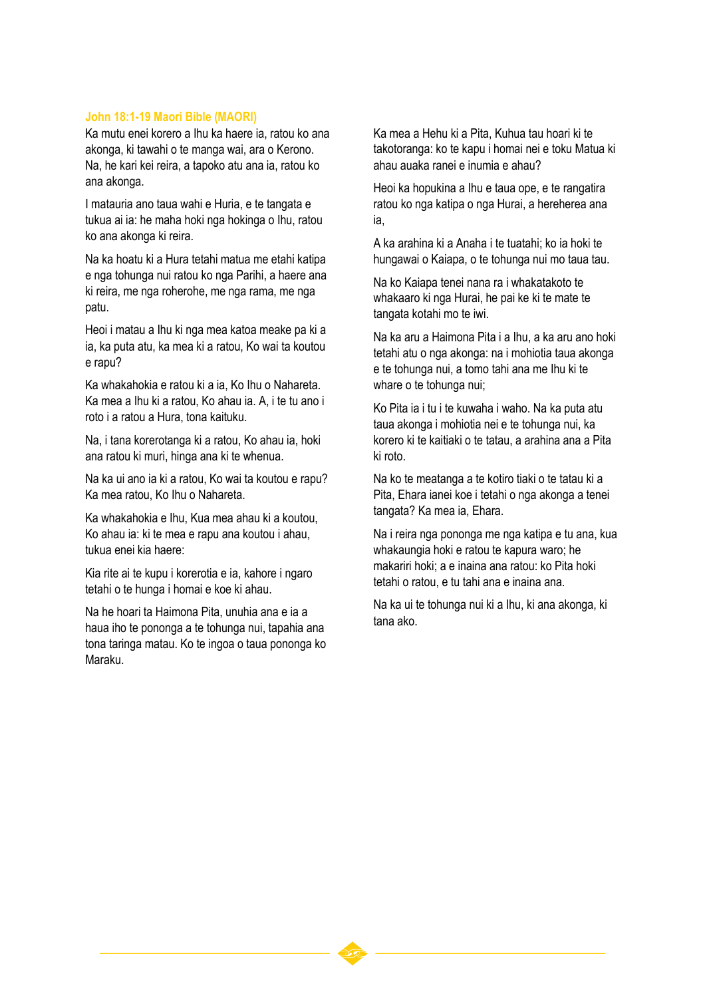#### **John 18:1-19 Maori Bible (MAORI)**

Ka mutu enei korero a Ihu ka haere ia, ratou ko ana akonga, ki tawahi o te manga wai, ara o Kerono. Na, he kari kei reira, a tapoko atu ana ia, ratou ko ana akonga.

I matauria ano taua wahi e Huria, e te tangata e tukua ai ia: he maha hoki nga hokinga o Ihu, ratou ko ana akonga ki reira.

Na ka hoatu ki a Hura tetahi matua me etahi katipa e nga tohunga nui ratou ko nga Parihi, a haere ana ki reira, me nga roherohe, me nga rama, me nga patu.

Heoi i matau a Ihu ki nga mea katoa meake pa ki a ia, ka puta atu, ka mea ki a ratou, Ko wai ta koutou e rapu?

Ka whakahokia e ratou ki a ia, Ko Ihu o Nahareta. Ka mea a Ihu ki a ratou, Ko ahau ia. A, i te tu ano i roto i a ratou a Hura, tona kaituku.

Na, i tana korerotanga ki a ratou, Ko ahau ia, hoki ana ratou ki muri, hinga ana ki te whenua.

Na ka ui ano ia ki a ratou, Ko wai ta koutou e rapu? Ka mea ratou, Ko Ihu o Nahareta.

Ka whakahokia e Ihu, Kua mea ahau ki a koutou, Ko ahau ia: ki te mea e rapu ana koutou i ahau, tukua enei kia haere:

Kia rite ai te kupu i korerotia e ia, kahore i ngaro tetahi o te hunga i homai e koe ki ahau.

Na he hoari ta Haimona Pita, unuhia ana e ia a haua iho te pononga a te tohunga nui, tapahia ana tona taringa matau. Ko te ingoa o taua pononga ko Maraku.

Ka mea a Hehu ki a Pita, Kuhua tau hoari ki te takotoranga: ko te kapu i homai nei e toku Matua ki ahau auaka ranei e inumia e ahau?

Heoi ka hopukina a Ihu e taua ope, e te rangatira ratou ko nga katipa o nga Hurai, a hereherea ana ia,

A ka arahina ki a Anaha i te tuatahi; ko ia hoki te hungawai o Kaiapa, o te tohunga nui mo taua tau.

Na ko Kaiapa tenei nana ra i whakatakoto te whakaaro ki nga Hurai, he pai ke ki te mate te tangata kotahi mo te iwi.

Na ka aru a Haimona Pita i a Ihu, a ka aru ano hoki tetahi atu o nga akonga: na i mohiotia taua akonga e te tohunga nui, a tomo tahi ana me Ihu ki te whare o te tohunga nui;

Ko Pita ia i tu i te kuwaha i waho. Na ka puta atu taua akonga i mohiotia nei e te tohunga nui, ka korero ki te kaitiaki o te tatau, a arahina ana a Pita ki roto.

Na ko te meatanga a te kotiro tiaki o te tatau ki a Pita, Ehara ianei koe i tetahi o nga akonga a tenei tangata? Ka mea ia, Ehara.

Na i reira nga pononga me nga katipa e tu ana, kua whakaungia hoki e ratou te kapura waro; he makariri hoki; a e inaina ana ratou: ko Pita hoki tetahi o ratou, e tu tahi ana e inaina ana.

Na ka ui te tohunga nui ki a Ihu, ki ana akonga, ki tana ako.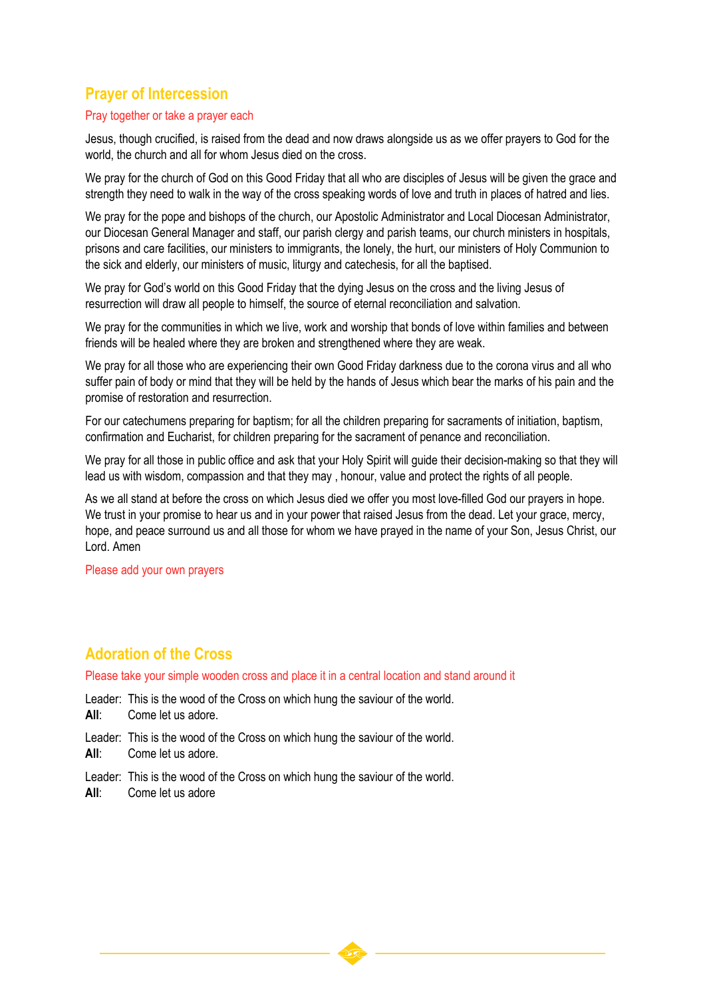# **Prayer of Intercession**

## Pray together or take a prayer each

Jesus, though crucified, is raised from the dead and now draws alongside us as we offer prayers to God for the world, the church and all for whom Jesus died on the cross.

We pray for the church of God on this Good Friday that all who are disciples of Jesus will be given the grace and strength they need to walk in the way of the cross speaking words of love and truth in places of hatred and lies.

We pray for the pope and bishops of the church, our Apostolic Administrator and Local Diocesan Administrator, our Diocesan General Manager and staff, our parish clergy and parish teams, our church ministers in hospitals, prisons and care facilities, our ministers to immigrants, the lonely, the hurt, our ministers of Holy Communion to the sick and elderly, our ministers of music, liturgy and catechesis, for all the baptised.

We pray for God's world on this Good Friday that the dying Jesus on the cross and the living Jesus of resurrection will draw all people to himself, the source of eternal reconciliation and salvation.

We pray for the communities in which we live, work and worship that bonds of love within families and between friends will be healed where they are broken and strengthened where they are weak.

We pray for all those who are experiencing their own Good Friday darkness due to the corona virus and all who suffer pain of body or mind that they will be held by the hands of Jesus which bear the marks of his pain and the promise of restoration and resurrection.

For our catechumens preparing for baptism; for all the children preparing for sacraments of initiation, baptism, confirmation and Eucharist, for children preparing for the sacrament of penance and reconciliation.

We pray for all those in public office and ask that your Holy Spirit will guide their decision-making so that they will lead us with wisdom, compassion and that they may , honour, value and protect the rights of all people.

As we all stand at before the cross on which Jesus died we offer you most love-filled God our prayers in hope. We trust in your promise to hear us and in your power that raised Jesus from the dead. Let your grace, mercy, hope, and peace surround us and all those for whom we have prayed in the name of your Son, Jesus Christ, our Lord. Amen

Please add your own prayers

## **Adoration of the Cross**

Please take your simple wooden cross and place it in a central location and stand around it

- Leader: This is the wood of the Cross on which hung the saviour of the world.
- **All**: Come let us adore.
- Leader: This is the wood of the Cross on which hung the saviour of the world.
- **All**: Come let us adore.
- Leader: This is the wood of the Cross on which hung the saviour of the world.
- **All**: Come let us adore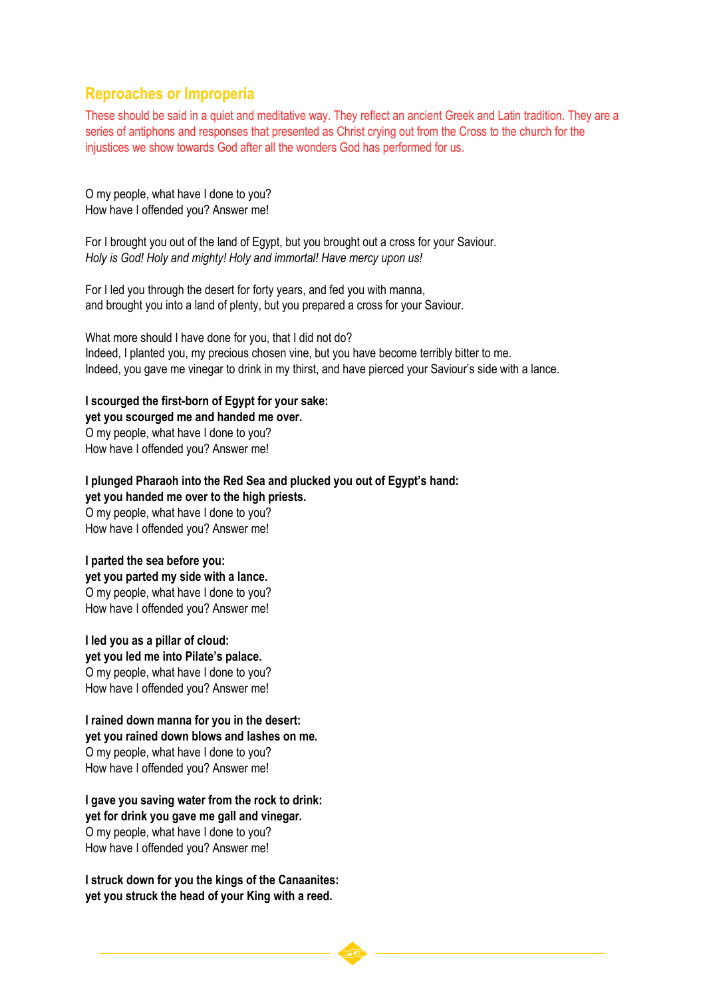## **Reproaches or Improperia**

These should be said in a quiet and meditative way. They reflect an ancient Greek and Latin tradition. They are a series of antiphons and responses that presented as Christ crying out from the Cross to the church for the injustices we show towards God after all the wonders God has performed for us.

O my people, what have I done to you? How have I offended you? Answer me!

For I brought you out of the land of Egypt, but you brought out a cross for your Saviour. *Holy is God! Holy and mighty! Holy and immortal! Have mercy upon us!*

For I led you through the desert for forty years, and fed you with manna, and brought you into a land of plenty, but you prepared a cross for your Saviour.

What more should I have done for you, that I did not do? Indeed, I planted you, my precious chosen vine, but you have become terribly bitter to me. Indeed, you gave me vinegar to drink in my thirst, and have pierced your Saviour's side with a lance.

**I scourged the first-born of Egypt for your sake: yet you scourged me and handed me over.** O my people, what have I done to you? How have I offended you? Answer me!

## **I plunged Pharaoh into the Red Sea and plucked you out of Egypt's hand: yet you handed me over to the high priests.**

O my people, what have I done to you? How have I offended you? Answer me!

## **I parted the sea before you: yet you parted my side with a lance.**

O my people, what have I done to you? How have I offended you? Answer me!

**I led you as a pillar of cloud: yet you led me into Pilate's palace.** O my people, what have I done to you?

How have I offended you? Answer me!

## **I rained down manna for you in the desert: yet you rained down blows and lashes on me.** O my people, what have I done to you? How have I offended you? Answer me!

**I gave you saving water from the rock to drink: yet for drink you gave me gall and vinegar.** O my people, what have I done to you? How have I offended you? Answer me!

**I struck down for you the kings of the Canaanites: yet you struck the head of your King with a reed.**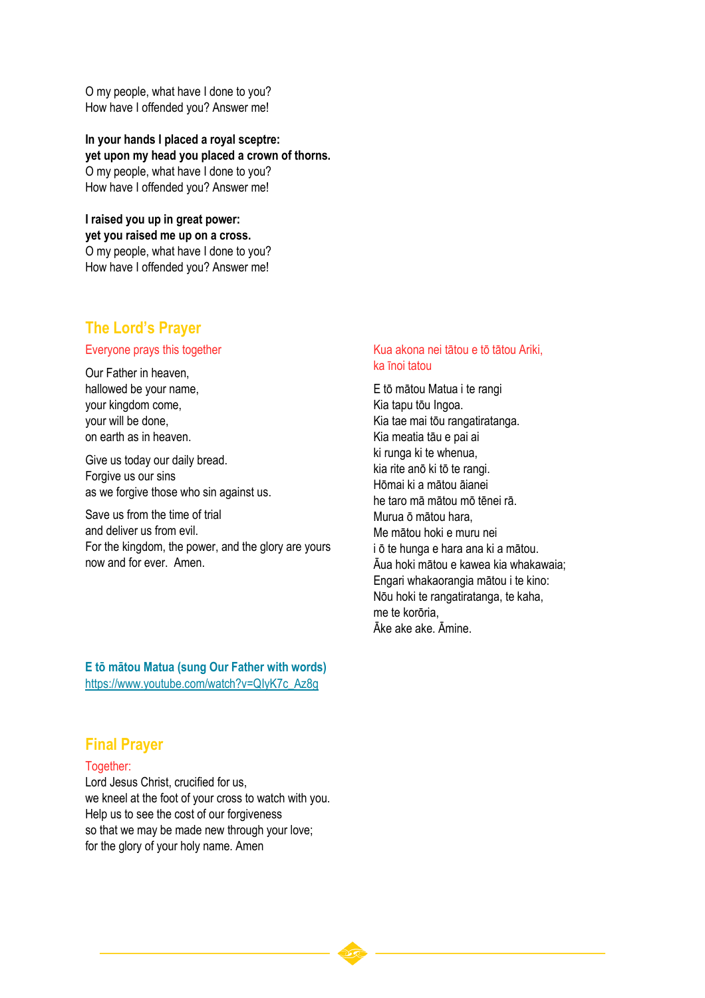O my people, what have I done to you? How have I offended you? Answer me!

**In your hands I placed a royal sceptre: yet upon my head you placed a crown of thorns.** O my people, what have I done to you? How have I offended you? Answer me!

**I raised you up in great power: yet you raised me up on a cross.** O my people, what have I done to you? How have I offended you? Answer me!

## **The Lord's Prayer**

#### Everyone prays this together

Our Father in heaven, hallowed be your name, your kingdom come, your will be done, on earth as in heaven.

Give us today our daily bread. Forgive us our sins as we forgive those who sin against us.

Save us from the time of trial and deliver us from evil. For the kingdom, the power, and the glory are yours now and for ever. Amen.

**E tō mātou Matua (sung Our Father with words)** [https://www.youtube.com/watch?v=QIyK7c\\_Az8g](https://www.youtube.com/watch?v=QIyK7c_Az8g)

## **Final Prayer**

### Together:

Lord Jesus Christ, crucified for us, we kneel at the foot of your cross to watch with you. Help us to see the cost of our forgiveness so that we may be made new through your love; for the glory of your holy name. Amen

## Kua akona nei tātou e tō tātou Ariki, ka īnoi tatou

E tō mātou Matua i te rangi Kia tapu tōu Ingoa. Kia tae mai tōu rangatiratanga. Kia meatia tāu e pai ai ki runga ki te whenua, kia rite anō ki tō te rangi. Hōmai ki a mātou āianei he taro mā mātou mō tēnei rā. Murua ō mātou hara, Me mātou hoki e muru nei i ō te hunga e hara ana ki a mātou. Āua hoki mātou e kawea kia whakawaia; Engari whakaorangia mātou i te kino: Nōu hoki te rangatiratanga, te kaha, me te korōria, Āke ake ake. Āmine.